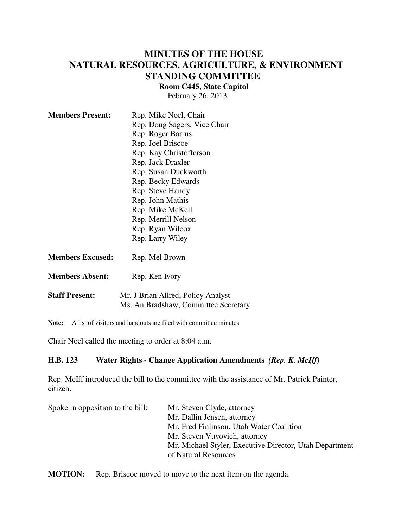## **MINUTES OF THE HOUSE NATURAL RESOURCES, AGRICULTURE, & ENVIRONMENT STANDING COMMITTEE**

**Room C445, State Capitol**

February 26, 2013

| <b>Members Present:</b> | Rep. Mike Noel, Chair                                                      |
|-------------------------|----------------------------------------------------------------------------|
|                         | Rep. Doug Sagers, Vice Chair                                               |
|                         | Rep. Roger Barrus                                                          |
|                         | Rep. Joel Briscoe                                                          |
|                         | Rep. Kay Christofferson                                                    |
|                         | Rep. Jack Draxler                                                          |
|                         | Rep. Susan Duckworth                                                       |
|                         | Rep. Becky Edwards                                                         |
|                         | Rep. Steve Handy                                                           |
|                         | Rep. John Mathis                                                           |
|                         | Rep. Mike McKell                                                           |
|                         | Rep. Merrill Nelson                                                        |
|                         | Rep. Ryan Wilcox                                                           |
|                         | Rep. Larry Wiley                                                           |
| <b>Members Excused:</b> | Rep. Mel Brown                                                             |
| <b>Members Absent:</b>  | Rep. Ken Ivory                                                             |
| <b>Staff Present:</b>   | Mr. J Brian Allred, Policy Analyst<br>Ms. An Bradshaw, Committee Secretary |

**Note:** A list of visitors and handouts are filed with committee minutes

Chair Noel called the meeting to order at 8:04 a.m.

## **H.B. 123 Water Rights - Change Application Amendments** *(Rep. K. McIff)*

Rep. McIff introduced the bill to the committee with the assistance of Mr. Patrick Painter, citizen.

| Mr. Steven Clyde, attorney                              |
|---------------------------------------------------------|
| Mr. Dallin Jensen, attorney                             |
| Mr. Fred Finlinson, Utah Water Coalition                |
| Mr. Steven Vuyovich, attorney                           |
| Mr. Michael Styler, Executive Director, Utah Department |
| of Natural Resources                                    |
|                                                         |

**MOTION:** Rep. Briscoe moved to move to the next item on the agenda.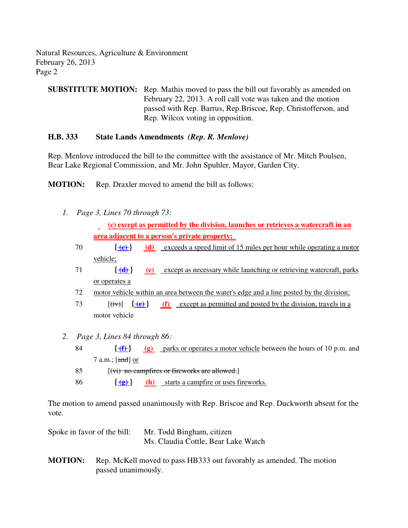Natural Resources, Agriculture & Environment February 26, 2013 Page 2

**SUBSTITUTE MOTION:** Rep. Mathis moved to pass the bill out favorably as amended on February 22, 2013. A roll call vote was taken and the motion passed with Rep. Barrus, Rep.Briscoe, Rep. Christofferson, and Rep. Wilcox voting in opposition.

## **H.B. 333 State Lands Amendments** *(Rep. R. Menlove)*

Rep. Menlove introduced the bill to the committee with the assistance of Mr. Mitch Poulsen, Bear Lake Regional Commission, and Mr. John Spuhler, Mayor, Garden City.

**MOTION:** Rep. Draxler moved to amend the bill as follows:

- *1. Page 3, Lines 70 through 73:*
	- **(c) except as permitted by the division, launches or retrieves a watercraft in an area adjacent to a person's private property;**
	- 70 **{ (c) } (d)** exceeds a speed limit of 15 miles per hour while operating a motor vehicle;
	- 71 **{ (d) } (e)** except as necessary while launching or retrieving watercraft, parks or operates a
	- 72 motor vehicle within an area between the water's edge and a line posted by the division;
	- 73  $[(iv)]$   $\{+e\}$  (f) except as permitted and posted by the division, travels in a motor vehicle
- *2. Page 3, Lines 84 through 86:*
	- 84 **{ (f) } (g)** parks or operates a motor vehicle between the hours of 10 p.m. and 7 a.m.; [and] or 85  $[(\overrightarrow{vi})$  no campfires or fireworks are allowed.
	- 86  $\{\overline{\mathbf{e}}\}$  (h) starts a campfire or uses fireworks.

The motion to amend passed unanimously with Rep. Briscoe and Rep. Duckworth absent for the vote.

| Spoke in favor of the bill: | Mr. Todd Bingham, citizen           |
|-----------------------------|-------------------------------------|
|                             | Ms. Claudia Cottle, Bear Lake Watch |

**MOTION:** Rep. McKell moved to pass HB333 out favorably as amended. The motion passed unanimously.